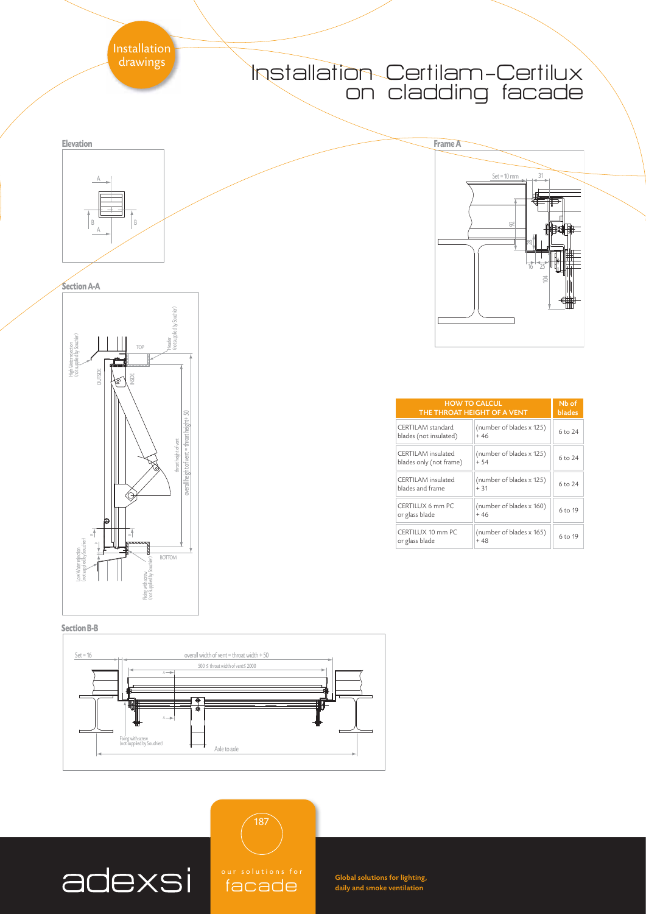# Installation Certilam-Certilux on cladding facade



| <b>HOW TO CALCUL</b><br>THE THROAT HEIGHT OF A VENT |                                   | Nb of<br>blades |
|-----------------------------------------------------|-----------------------------------|-----------------|
| CERTII AM standard<br>blades (not insulated)        | (number of blades x 125)<br>$+46$ | 6 to 24         |
| CERTII AM insulated<br>blades only (not frame)      | (number of blades x 125)<br>$+54$ | 6 to 24         |
| CERTII AM insulated<br>blades and frame             | (number of blades x 125)<br>$+31$ | 6 to 24         |
| CERTILUX 6 mm PC<br>or glass blade                  | (number of blades x 160)<br>$+46$ | 6 to 19         |
| CERTILUX 10 mm PC<br>or glass blade                 | (number of blades x 165)<br>$+48$ | 6 to 19         |





adexsi



187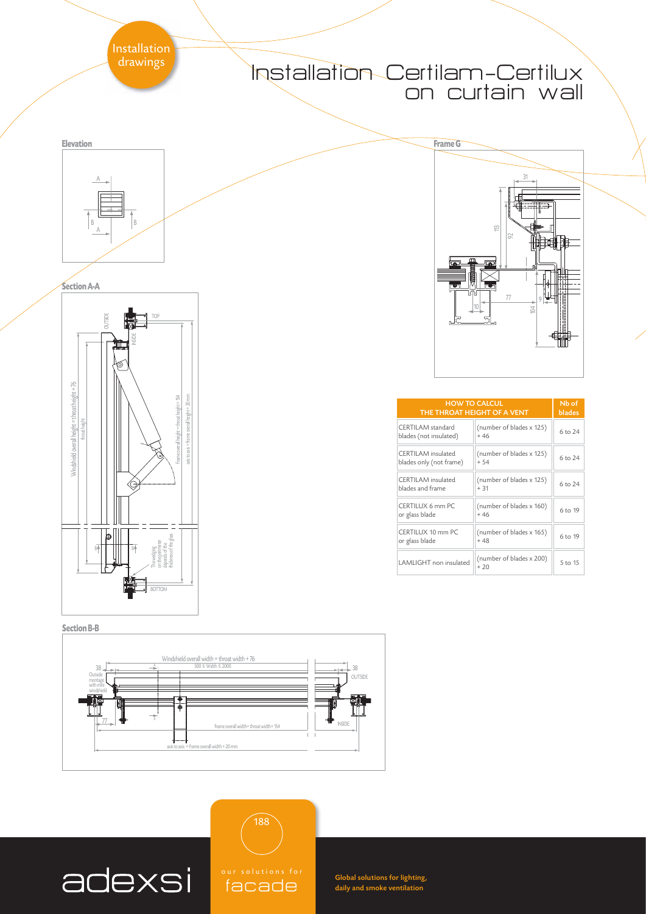# Installation Certilam-Certilux on curtain wall



| <b>HOW TO CALCUL</b><br>THE THROAT HEIGHT OF A VENT  |                                   | N <sub>b</sub> of<br><b>blades</b> |
|------------------------------------------------------|-----------------------------------|------------------------------------|
| CERTII AM standard<br>blades (not insulated)         | (number of blades x 125)<br>$+46$ | 6 to 24                            |
| <b>CERTILAM</b> insulated<br>blades only (not frame) | (number of blades x 125)<br>$+54$ | 6 to 24                            |
| CERTILAM insulated<br>blades and frame               | (number of blades x 125)<br>$+31$ | 6 to 24                            |
| CERTILUX 6 mm PC<br>or glass blade                   | (number of blades x 160)<br>$+46$ | 6 to 19                            |
| CERTILUX 10 mm PC<br>or glass blade                  | (number of blades x 165)<br>$+48$ | 6 to 19                            |
| I AMI IGHT non insulated                             | (number of blades x 200)<br>$+20$ | 5 to 15                            |

**Section A-A** A **Elevation** B B



### **Section B-B**



188



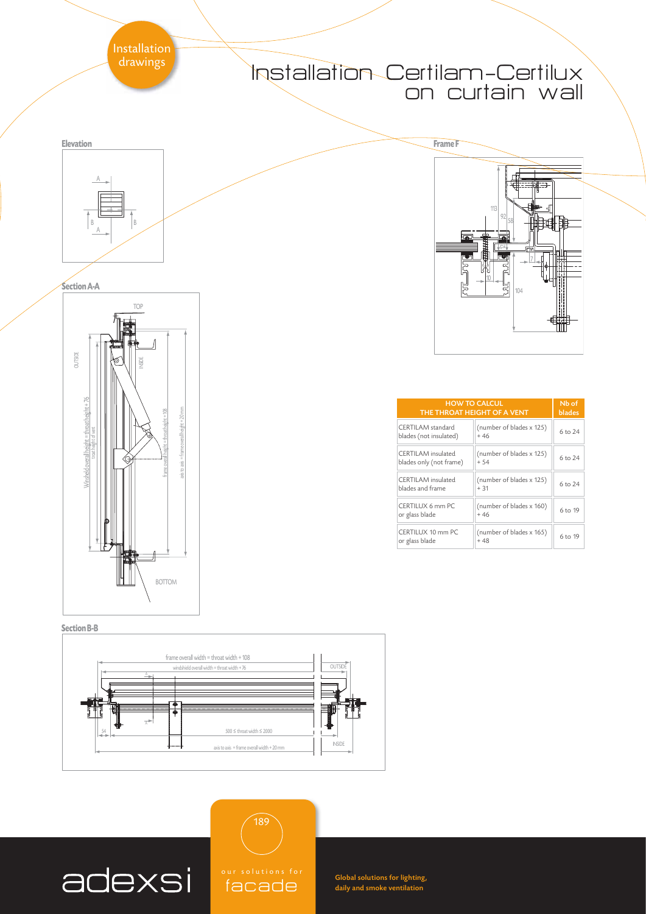# Installation Certilam-Certilux on curtain wall



| <b>HOW TO CALCUL</b><br>THE THROAT HEIGHT OF A VENT |                                   | Nb of<br>blades |
|-----------------------------------------------------|-----------------------------------|-----------------|
| CERTII AM standard<br>blades (not insulated)        | (number of blades x 125)<br>$+46$ | 6 to 24         |
| CERTII AM insulated<br>blades only (not frame)      | (number of blades x 125)<br>$+54$ | 6 to 24         |
| CERTII AM insulated<br>blades and frame             | (number of blades x 125)<br>$+31$ | 6 to 24         |
| CERTILUX 6 mm PC<br>or glass blade                  | (number of blades x 160)<br>$+46$ | 6 to 19         |
| CERTILUX 10 mm PC<br>or glass blade                 | (number of blades x 165)<br>$+48$ | 6 to 19         |

A **Elevation** B B



### **Section B-B**



adexsi



189